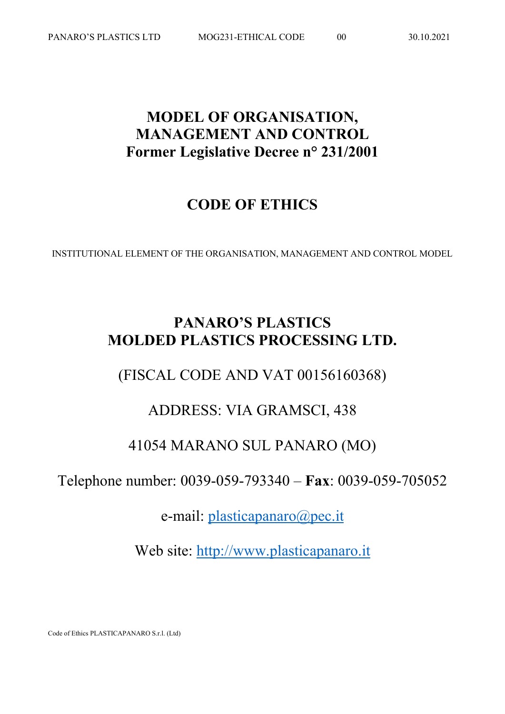# **MODEL OF ORGANISATION, MANAGEMENT AND CONTROL Former Legislative Decree n° 231/2001**

# **CODE OF ETHICS**

INSTITUTIONAL ELEMENT OF THE ORGANISATION, MANAGEMENT AND CONTROL MODEL

# **PANARO'S PLASTICS MOLDED PLASTICS PROCESSING LTD.**

## (FISCAL CODE AND VAT 00156160368)

## ADDRESS: VIA GRAMSCI, 438

## 41054 MARANO SUL PANARO (MO)

Telephone number: 0039-059-793340 – **Fax**: 0039-059-705052

e-mail: [plasticapanaro@pec.it](mailto:plasticapanaro@pec.it)

Web site: [http://www.plasticapanaro.it](http://www.plasticapanaro.it/)

Code of Ethics PLASTICAPANARO S.r.l. (Ltd)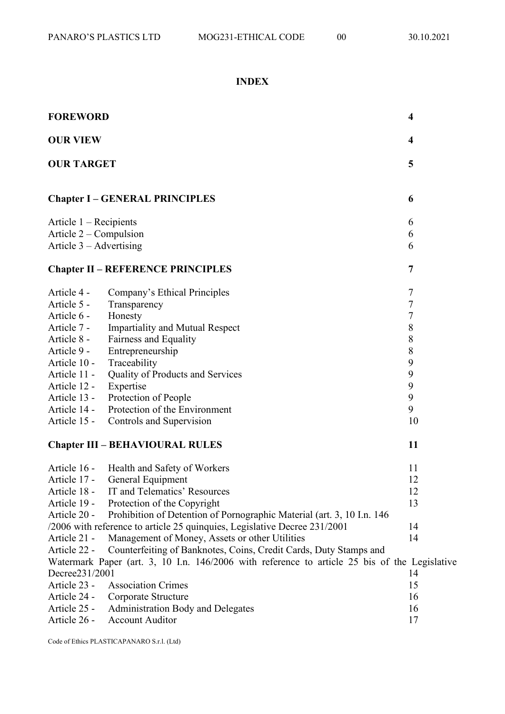## **INDEX**

| <b>FOREWORD</b>                                     |                                                                                               | $\overline{\mathbf{4}}$ |
|-----------------------------------------------------|-----------------------------------------------------------------------------------------------|-------------------------|
| <b>OUR VIEW</b>                                     |                                                                                               | 4                       |
| <b>OUR TARGET</b>                                   |                                                                                               | 5                       |
|                                                     | <b>Chapter I - GENERAL PRINCIPLES</b>                                                         | 6                       |
|                                                     |                                                                                               |                         |
| Article $1 -$ Recipients                            |                                                                                               | 6                       |
| Article 2 – Compulsion<br>Article $3 -$ Advertising |                                                                                               | 6<br>6                  |
|                                                     |                                                                                               |                         |
|                                                     | <b>Chapter II - REFERENCE PRINCIPLES</b>                                                      | 7                       |
|                                                     |                                                                                               |                         |
| Article 4 -                                         | Company's Ethical Principles                                                                  | 7                       |
| Article 5 -                                         | Transparency                                                                                  | $\overline{7}$          |
| Article 6 -                                         | Honesty                                                                                       | $\overline{7}$          |
| Article 7 -                                         | <b>Impartiality and Mutual Respect</b>                                                        | 8                       |
| Article 8 -                                         | Fairness and Equality                                                                         | 8                       |
| Article 9 -                                         | Entrepreneurship                                                                              | 8                       |
| Article 10 -                                        | Traceability                                                                                  | 9                       |
| Article 11 -                                        | Quality of Products and Services                                                              | 9                       |
| Article 12 -                                        | Expertise                                                                                     | 9                       |
| Article 13 -                                        | Protection of People                                                                          | 9                       |
| Article 14 -                                        | Protection of the Environment                                                                 | 9                       |
| Article 15 -                                        | Controls and Supervision                                                                      | 10                      |
| <b>Chapter III - BEHAVIOURAL RULES</b>              |                                                                                               | 11                      |
| Article 16 -                                        | Health and Safety of Workers                                                                  | 11                      |
| Article 17 -                                        | General Equipment                                                                             | 12                      |
| Article 18 -                                        | IT and Telematics' Resources                                                                  | 12                      |
| Article 19 -                                        | Protection of the Copyright                                                                   | 13                      |
| Article 20 -                                        | Prohibition of Detention of Pornographic Material (art. 3, 10 I.n. 146                        |                         |
|                                                     | /2006 with reference to article 25 quinquies, Legislative Decree 231/2001                     | 14                      |
| Article 21 -                                        | Management of Money, Assets or other Utilities                                                | 14                      |
| Article 22 -                                        | Counterfeiting of Banknotes, Coins, Credit Cards, Duty Stamps and                             |                         |
|                                                     | Watermark Paper (art. 3, 10 I.n. 146/2006 with reference to article 25 bis of the Legislative |                         |
| Decree231/2001                                      |                                                                                               | 14                      |
| Article 23 -                                        | <b>Association Crimes</b>                                                                     | 15                      |
| Article 24 -                                        | Corporate Structure                                                                           | 16                      |
| Article 25 -                                        | <b>Administration Body and Delegates</b>                                                      | 16                      |
| Article 26 -                                        | <b>Account Auditor</b>                                                                        | 17                      |

Code of Ethics PLASTICAPANARO S.r.l. (Ltd)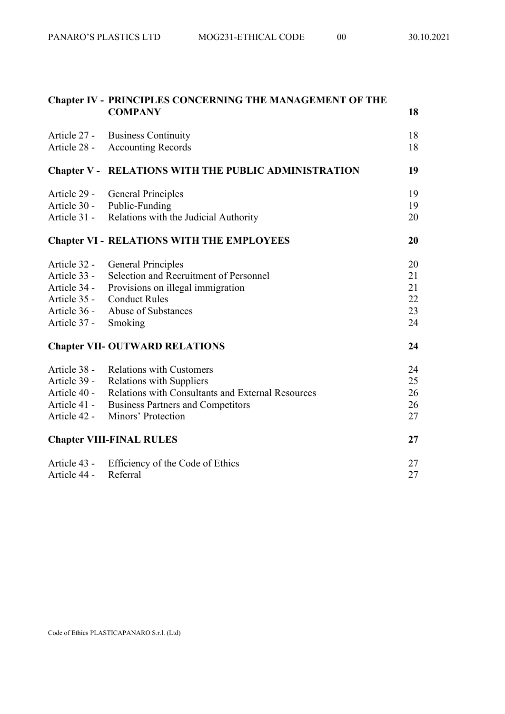|                                 | <b>Chapter IV - PRINCIPLES CONCERNING THE MANAGEMENT OF THE</b><br><b>COMPANY</b> | 18 |
|---------------------------------|-----------------------------------------------------------------------------------|----|
| Article 27 -                    | <b>Business Continuity</b>                                                        | 18 |
| Article 28 -                    | <b>Accounting Records</b>                                                         | 18 |
|                                 | <b>Chapter V - RELATIONS WITH THE PUBLIC ADMINISTRATION</b>                       | 19 |
| Article 29 -                    | <b>General Principles</b>                                                         | 19 |
| Article 30 -                    | Public-Funding                                                                    | 19 |
| Article 31 -                    | Relations with the Judicial Authority                                             | 20 |
|                                 | <b>Chapter VI - RELATIONS WITH THE EMPLOYEES</b>                                  | 20 |
| Article 32 -                    | <b>General Principles</b>                                                         | 20 |
| Article 33 -                    | Selection and Recruitment of Personnel                                            | 21 |
| Article 34 -                    | Provisions on illegal immigration                                                 | 21 |
| Article 35 -                    | <b>Conduct Rules</b>                                                              | 22 |
| Article 36 -                    | Abuse of Substances                                                               | 23 |
| Article 37 -                    | Smoking                                                                           | 24 |
|                                 | <b>Chapter VII- OUTWARD RELATIONS</b>                                             | 24 |
| Article 38 -                    | <b>Relations with Customers</b>                                                   | 24 |
| Article 39 -                    | <b>Relations with Suppliers</b>                                                   | 25 |
| Article 40 -                    | Relations with Consultants and External Resources                                 | 26 |
| Article 41 -                    | <b>Business Partners and Competitors</b>                                          | 26 |
| Article 42 -                    | Minors' Protection                                                                | 27 |
| <b>Chapter VIII-FINAL RULES</b> |                                                                                   | 27 |
| Article 43 -                    | Efficiency of the Code of Ethics                                                  | 27 |
| Article 44 -                    | Referral                                                                          | 27 |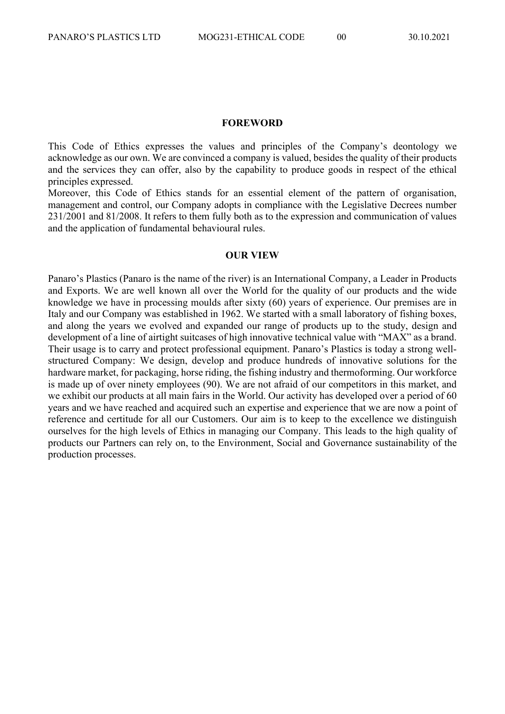#### **FOREWORD**

This Code of Ethics expresses the values and principles of the Company's deontology we acknowledge as our own. We are convinced a company is valued, besides the quality of their products and the services they can offer, also by the capability to produce goods in respect of the ethical principles expressed.

Moreover, this Code of Ethics stands for an essential element of the pattern of organisation, management and control, our Company adopts in compliance with the Legislative Decrees number 231/2001 and 81/2008. It refers to them fully both as to the expression and communication of values and the application of fundamental behavioural rules.

## **OUR VIEW**

Panaro's Plastics (Panaro is the name of the river) is an International Company, a Leader in Products and Exports. We are well known all over the World for the quality of our products and the wide knowledge we have in processing moulds after sixty (60) years of experience. Our premises are in Italy and our Company was established in 1962. We started with a small laboratory of fishing boxes, and along the years we evolved and expanded our range of products up to the study, design and development of a line of airtight suitcases of high innovative technical value with "MAX" as a brand. Their usage is to carry and protect professional equipment. Panaro's Plastics is today a strong wellstructured Company: We design, develop and produce hundreds of innovative solutions for the hardware market, for packaging, horse riding, the fishing industry and thermoforming. Our workforce is made up of over ninety employees (90). We are not afraid of our competitors in this market, and we exhibit our products at all main fairs in the World. Our activity has developed over a period of 60 years and we have reached and acquired such an expertise and experience that we are now a point of reference and certitude for all our Customers. Our aim is to keep to the excellence we distinguish ourselves for the high levels of Ethics in managing our Company. This leads to the high quality of products our Partners can rely on, to the Environment, Social and Governance sustainability of the production processes.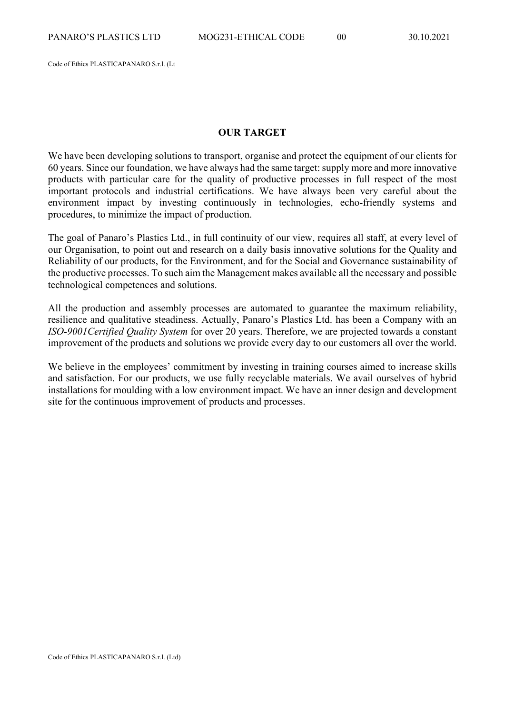Code of Ethics PLASTICAPANARO S.r.l. (Lt

#### **OUR TARGET**

We have been developing solutions to transport, organise and protect the equipment of our clients for 60 years. Since our foundation, we have always had the same target: supply more and more innovative products with particular care for the quality of productive processes in full respect of the most important protocols and industrial certifications. We have always been very careful about the environment impact by investing continuously in technologies, echo-friendly systems and procedures, to minimize the impact of production.

The goal of Panaro's Plastics Ltd., in full continuity of our view, requires all staff, at every level of our Organisation, to point out and research on a daily basis innovative solutions for the Quality and Reliability of our products, for the Environment, and for the Social and Governance sustainability of the productive processes. To such aim the Management makes available all the necessary and possible technological competences and solutions.

All the production and assembly processes are automated to guarantee the maximum reliability, resilience and qualitative steadiness. Actually, Panaro's Plastics Ltd. has been a Company with an *ISO-9001Certified Quality System* for over 20 years. Therefore, we are projected towards a constant improvement of the products and solutions we provide every day to our customers all over the world.

We believe in the employees' commitment by investing in training courses aimed to increase skills and satisfaction. For our products, we use fully recyclable materials. We avail ourselves of hybrid installations for moulding with a low environment impact. We have an inner design and development site for the continuous improvement of products and processes.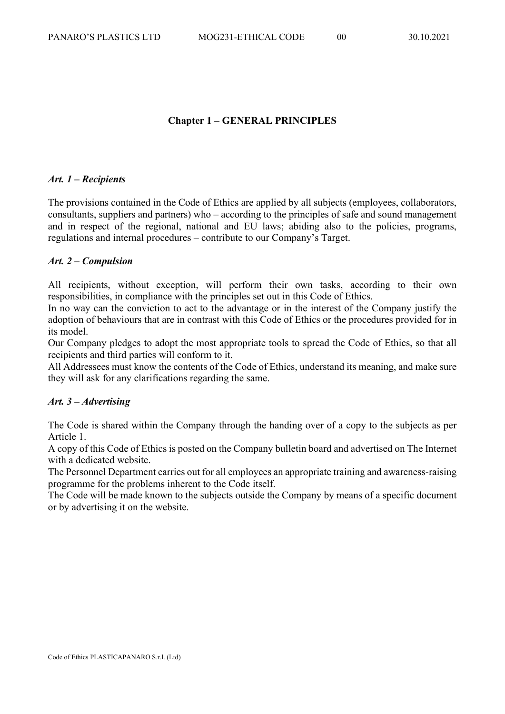## **Chapter 1 – GENERAL PRINCIPLES**

## *Art. 1 – Recipients*

The provisions contained in the Code of Ethics are applied by all subjects (employees, collaborators, consultants, suppliers and partners) who – according to the principles of safe and sound management and in respect of the regional, national and EU laws; abiding also to the policies, programs, regulations and internal procedures – contribute to our Company's Target.

## *Art. 2 – Compulsion*

All recipients, without exception, will perform their own tasks, according to their own responsibilities, in compliance with the principles set out in this Code of Ethics.

In no way can the conviction to act to the advantage or in the interest of the Company justify the adoption of behaviours that are in contrast with this Code of Ethics or the procedures provided for in its model.

Our Company pledges to adopt the most appropriate tools to spread the Code of Ethics, so that all recipients and third parties will conform to it.

All Addressees must know the contents of the Code of Ethics, understand its meaning, and make sure they will ask for any clarifications regarding the same.

## *Art. 3 – Advertising*

The Code is shared within the Company through the handing over of a copy to the subjects as per Article 1.

A copy of this Code of Ethics is posted on the Company bulletin board and advertised on The Internet with a dedicated website.

The Personnel Department carries out for all employees an appropriate training and awareness-raising programme for the problems inherent to the Code itself.

The Code will be made known to the subjects outside the Company by means of a specific document or by advertising it on the website.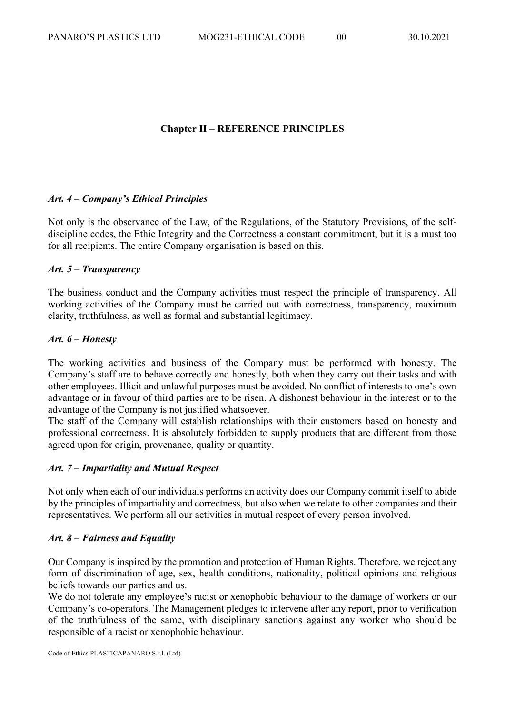## **Chapter II – REFERENCE PRINCIPLES**

## *Art. 4 – Company's Ethical Principles*

Not only is the observance of the Law, of the Regulations, of the Statutory Provisions, of the selfdiscipline codes, the Ethic Integrity and the Correctness a constant commitment, but it is a must too for all recipients. The entire Company organisation is based on this.

## *Art. 5 – Transparency*

The business conduct and the Company activities must respect the principle of transparency. All working activities of the Company must be carried out with correctness, transparency, maximum clarity, truthfulness, as well as formal and substantial legitimacy.

## *Art. 6 – Honesty*

The working activities and business of the Company must be performed with honesty. The Company's staff are to behave correctly and honestly, both when they carry out their tasks and with other employees. Illicit and unlawful purposes must be avoided. No conflict of interests to one's own advantage or in favour of third parties are to be risen. A dishonest behaviour in the interest or to the advantage of the Company is not justified whatsoever.

The staff of the Company will establish relationships with their customers based on honesty and professional correctness. It is absolutely forbidden to supply products that are different from those agreed upon for origin, provenance, quality or quantity.

## *Art. 7 – Impartiality and Mutual Respect*

Not only when each of our individuals performs an activity does our Company commit itself to abide by the principles of impartiality and correctness, but also when we relate to other companies and their representatives. We perform all our activities in mutual respect of every person involved.

#### *Art. 8 – Fairness and Equality*

Our Company is inspired by the promotion and protection of Human Rights. Therefore, we reject any form of discrimination of age, sex, health conditions, nationality, political opinions and religious beliefs towards our parties and us.

We do not tolerate any employee's racist or xenophobic behaviour to the damage of workers or our Company's co-operators. The Management pledges to intervene after any report, prior to verification of the truthfulness of the same, with disciplinary sanctions against any worker who should be responsible of a racist or xenophobic behaviour.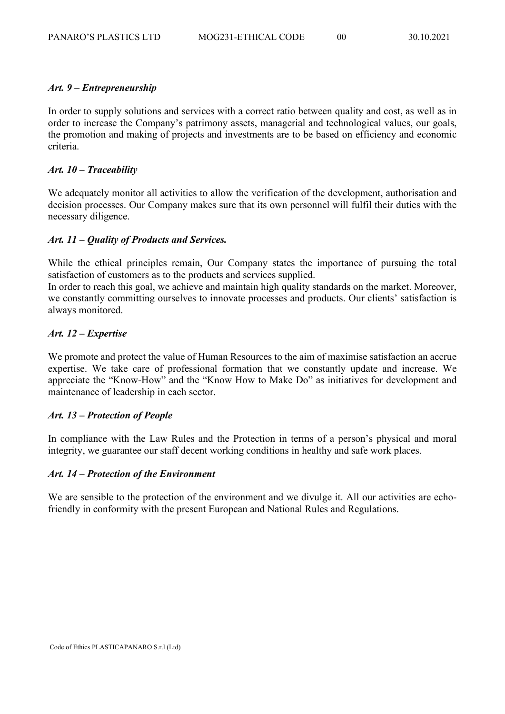## *Art. 9 – Entrepreneurship*

In order to supply solutions and services with a correct ratio between quality and cost, as well as in order to increase the Company's patrimony assets, managerial and technological values, our goals, the promotion and making of projects and investments are to be based on efficiency and economic criteria.

## *Art. 10 – Traceability*

We adequately monitor all activities to allow the verification of the development, authorisation and decision processes. Our Company makes sure that its own personnel will fulfil their duties with the necessary diligence.

## *Art. 11 – Quality of Products and Services.*

While the ethical principles remain, Our Company states the importance of pursuing the total satisfaction of customers as to the products and services supplied.

In order to reach this goal, we achieve and maintain high quality standards on the market. Moreover, we constantly committing ourselves to innovate processes and products. Our clients' satisfaction is always monitored.

## *Art. 12 – Expertise*

We promote and protect the value of Human Resources to the aim of maximise satisfaction an accrue expertise. We take care of professional formation that we constantly update and increase. We appreciate the "Know-How" and the "Know How to Make Do" as initiatives for development and maintenance of leadership in each sector.

## *Art. 13 – Protection of People*

In compliance with the Law Rules and the Protection in terms of a person's physical and moral integrity, we guarantee our staff decent working conditions in healthy and safe work places.

## *Art. 14 – Protection of the Environment*

We are sensible to the protection of the environment and we divulge it. All our activities are echofriendly in conformity with the present European and National Rules and Regulations.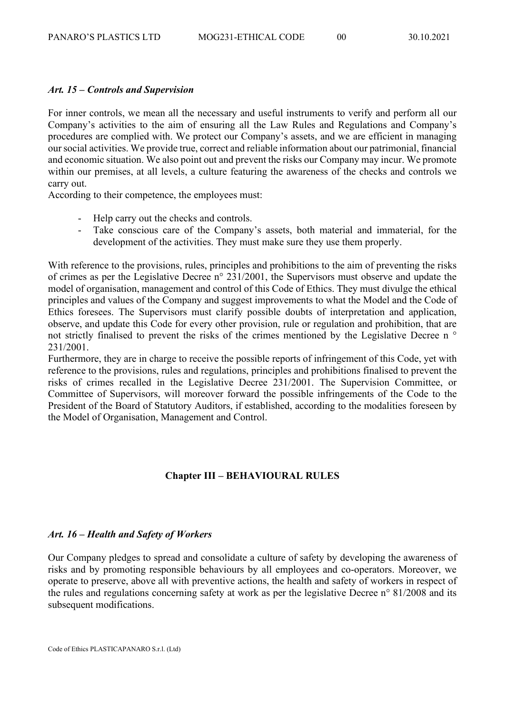#### *Art. 15 – Controls and Supervision*

For inner controls, we mean all the necessary and useful instruments to verify and perform all our Company's activities to the aim of ensuring all the Law Rules and Regulations and Company's procedures are complied with. We protect our Company's assets, and we are efficient in managing our social activities. We provide true, correct and reliable information about our patrimonial, financial and economic situation. We also point out and prevent the risks our Company may incur. We promote within our premises, at all levels, a culture featuring the awareness of the checks and controls we carry out.

According to their competence, the employees must:

- Help carry out the checks and controls.
- Take conscious care of the Company's assets, both material and immaterial, for the development of the activities. They must make sure they use them properly.

With reference to the provisions, rules, principles and prohibitions to the aim of preventing the risks of crimes as per the Legislative Decree n° 231/2001, the Supervisors must observe and update the model of organisation, management and control of this Code of Ethics. They must divulge the ethical principles and values of the Company and suggest improvements to what the Model and the Code of Ethics foresees. The Supervisors must clarify possible doubts of interpretation and application, observe, and update this Code for every other provision, rule or regulation and prohibition, that are not strictly finalised to prevent the risks of the crimes mentioned by the Legislative Decree n  $\circ$ 231/2001.

Furthermore, they are in charge to receive the possible reports of infringement of this Code, yet with reference to the provisions, rules and regulations, principles and prohibitions finalised to prevent the risks of crimes recalled in the Legislative Decree 231/2001. The Supervision Committee, or Committee of Supervisors, will moreover forward the possible infringements of the Code to the President of the Board of Statutory Auditors, if established, according to the modalities foreseen by the Model of Organisation, Management and Control.

## **Chapter III – BEHAVIOURAL RULES**

## *Art. 16 – Health and Safety of Workers*

Our Company pledges to spread and consolidate a culture of safety by developing the awareness of risks and by promoting responsible behaviours by all employees and co-operators. Moreover, we operate to preserve, above all with preventive actions, the health and safety of workers in respect of the rules and regulations concerning safety at work as per the legislative Decree n° 81/2008 and its subsequent modifications.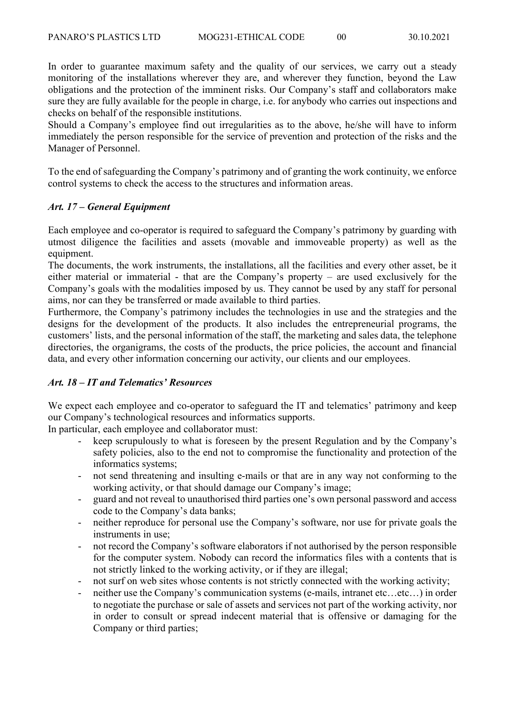In order to guarantee maximum safety and the quality of our services, we carry out a steady monitoring of the installations wherever they are, and wherever they function, beyond the Law obligations and the protection of the imminent risks. Our Company's staff and collaborators make sure they are fully available for the people in charge, i.e. for anybody who carries out inspections and checks on behalf of the responsible institutions.

Should a Company's employee find out irregularities as to the above, he/she will have to inform immediately the person responsible for the service of prevention and protection of the risks and the Manager of Personnel.

To the end of safeguarding the Company's patrimony and of granting the work continuity, we enforce control systems to check the access to the structures and information areas.

## *Art. 17 – General Equipment*

Each employee and co-operator is required to safeguard the Company's patrimony by guarding with utmost diligence the facilities and assets (movable and immoveable property) as well as the equipment.

The documents, the work instruments, the installations, all the facilities and every other asset, be it either material or immaterial - that are the Company's property – are used exclusively for the Company's goals with the modalities imposed by us. They cannot be used by any staff for personal aims, nor can they be transferred or made available to third parties.

Furthermore, the Company's patrimony includes the technologies in use and the strategies and the designs for the development of the products. It also includes the entrepreneurial programs, the customers' lists, and the personal information of the staff, the marketing and sales data, the telephone directories, the organigrams, the costs of the products, the price policies, the account and financial data, and every other information concerning our activity, our clients and our employees.

## *Art. 18 – IT and Telematics' Resources*

We expect each employee and co-operator to safeguard the IT and telematics' patrimony and keep our Company's technological resources and informatics supports.

In particular, each employee and collaborator must:

- keep scrupulously to what is foreseen by the present Regulation and by the Company's safety policies, also to the end not to compromise the functionality and protection of the informatics systems;
- not send threatening and insulting e-mails or that are in any way not conforming to the working activity, or that should damage our Company's image;
- guard and not reveal to unauthorised third parties one's own personal password and access code to the Company's data banks;
- neither reproduce for personal use the Company's software, nor use for private goals the instruments in use;
- not record the Company's software elaborators if not authorised by the person responsible for the computer system. Nobody can record the informatics files with a contents that is not strictly linked to the working activity, or if they are illegal;
- not surf on web sites whose contents is not strictly connected with the working activity;
- neither use the Company's communication systems (e-mails, intranet etc…etc…) in order to negotiate the purchase or sale of assets and services not part of the working activity, nor in order to consult or spread indecent material that is offensive or damaging for the Company or third parties;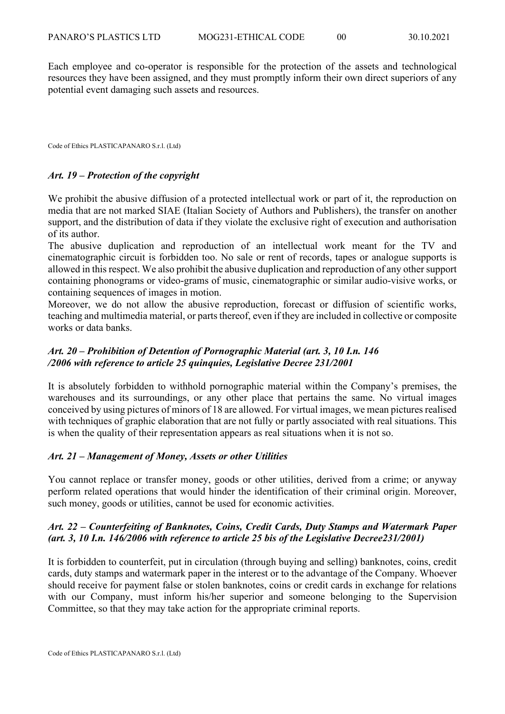Each employee and co-operator is responsible for the protection of the assets and technological resources they have been assigned, and they must promptly inform their own direct superiors of any potential event damaging such assets and resources.

Code of Ethics PLASTICAPANARO S.r.l. (Ltd)

## *Art. 19 – Protection of the copyright*

We prohibit the abusive diffusion of a protected intellectual work or part of it, the reproduction on media that are not marked SIAE (Italian Society of Authors and Publishers), the transfer on another support, and the distribution of data if they violate the exclusive right of execution and authorisation of its author.

The abusive duplication and reproduction of an intellectual work meant for the TV and cinematographic circuit is forbidden too. No sale or rent of records, tapes or analogue supports is allowed in thisrespect. We also prohibit the abusive duplication and reproduction of any other support containing phonograms or video-grams of music, cinematographic or similar audio-visive works, or containing sequences of images in motion.

Moreover, we do not allow the abusive reproduction, forecast or diffusion of scientific works, teaching and multimedia material, or parts thereof, even if they are included in collective or composite works or data banks.

## *Art. 20 – Prohibition of Detention of Pornographic Material (art. 3, 10 I.n. 146 /2006 with reference to article 25 quinquies, Legislative Decree 231/2001*

It is absolutely forbidden to withhold pornographic material within the Company's premises, the warehouses and its surroundings, or any other place that pertains the same. No virtual images conceived by using pictures of minors of 18 are allowed. For virtual images, we mean pictures realised with techniques of graphic elaboration that are not fully or partly associated with real situations. This is when the quality of their representation appears as real situations when it is not so.

#### *Art. 21 – Management of Money, Assets or other Utilities*

You cannot replace or transfer money, goods or other utilities, derived from a crime; or anyway perform related operations that would hinder the identification of their criminal origin. Moreover, such money, goods or utilities, cannot be used for economic activities.

## *Art. 22 – Counterfeiting of Banknotes, Coins, Credit Cards, Duty Stamps and Watermark Paper (art. 3, 10 I.n. 146/2006 with reference to article 25 bis of the Legislative Decree231/2001)*

It is forbidden to counterfeit, put in circulation (through buying and selling) banknotes, coins, credit cards, duty stamps and watermark paper in the interest or to the advantage of the Company. Whoever should receive for payment false or stolen banknotes, coins or credit cards in exchange for relations with our Company, must inform his/her superior and someone belonging to the Supervision Committee, so that they may take action for the appropriate criminal reports.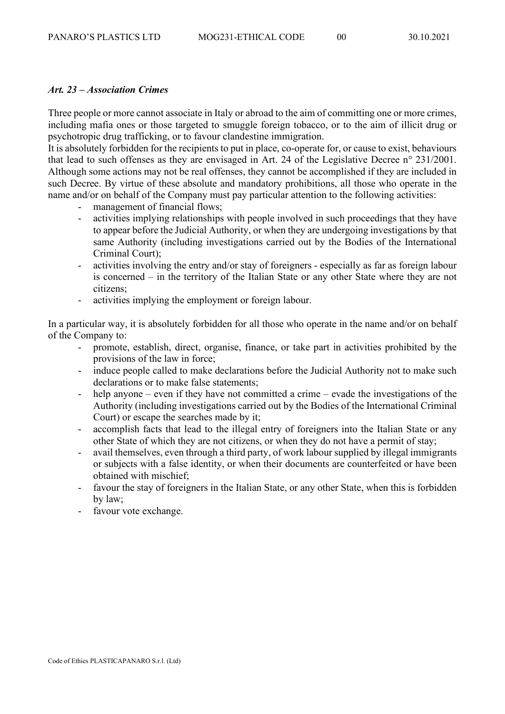## *Art. 23 – Association Crimes*

Three people or more cannot associate in Italy or abroad to the aim of committing one or more crimes, including mafia ones or those targeted to smuggle foreign tobacco, or to the aim of illicit drug or psychotropic drug trafficking, or to favour clandestine immigration.

It is absolutely forbidden for the recipients to put in place, co-operate for, or cause to exist, behaviours that lead to such offenses as they are envisaged in Art. 24 of the Legislative Decree n° 231/2001. Although some actions may not be real offenses, they cannot be accomplished if they are included in such Decree. By virtue of these absolute and mandatory prohibitions, all those who operate in the name and/or on behalf of the Company must pay particular attention to the following activities:

management of financial flows:

- activities implying relationships with people involved in such proceedings that they have to appear before the Judicial Authority, or when they are undergoing investigations by that same Authority (including investigations carried out by the Bodies of the International Criminal Court);
- activities involving the entry and/or stay of foreigners especially as far as foreign labour is concerned – in the territory of the Italian State or any other State where they are not citizens;
- activities implying the employment or foreign labour.

In a particular way, it is absolutely forbidden for all those who operate in the name and/or on behalf of the Company to:

- promote, establish, direct, organise, finance, or take part in activities prohibited by the provisions of the law in force;
- induce people called to make declarations before the Judicial Authority not to make such declarations or to make false statements;
- help anyone even if they have not committed a crime evade the investigations of the Authority (including investigations carried out by the Bodies of the International Criminal Court) or escape the searches made by it;
- accomplish facts that lead to the illegal entry of foreigners into the Italian State or any other State of which they are not citizens, or when they do not have a permit of stay;
- avail themselves, even through a third party, of work labour supplied by illegal immigrants or subjects with a false identity, or when their documents are counterfeited or have been obtained with mischief;
- favour the stay of foreigners in the Italian State, or any other State, when this is forbidden by law;
- favour vote exchange.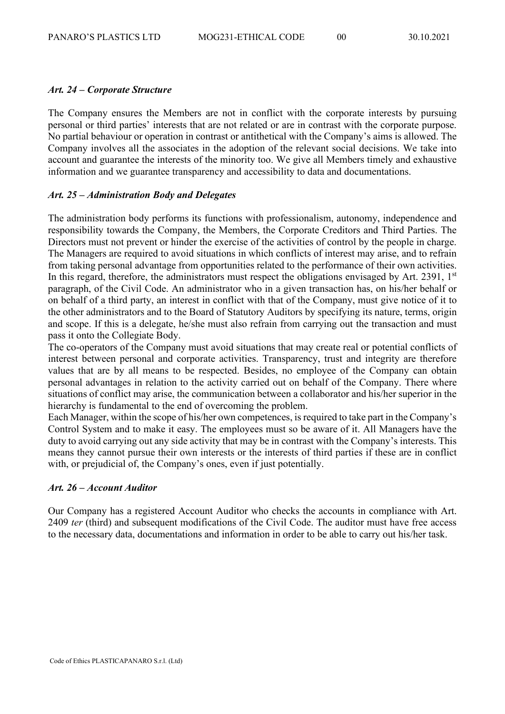## *Art. 24 – Corporate Structure*

The Company ensures the Members are not in conflict with the corporate interests by pursuing personal or third parties' interests that are not related or are in contrast with the corporate purpose. No partial behaviour or operation in contrast or antithetical with the Company's aims is allowed. The Company involves all the associates in the adoption of the relevant social decisions. We take into account and guarantee the interests of the minority too. We give all Members timely and exhaustive information and we guarantee transparency and accessibility to data and documentations.

## *Art. 25 – Administration Body and Delegates*

The administration body performs its functions with professionalism, autonomy, independence and responsibility towards the Company, the Members, the Corporate Creditors and Third Parties. The Directors must not prevent or hinder the exercise of the activities of control by the people in charge. The Managers are required to avoid situations in which conflicts of interest may arise, and to refrain from taking personal advantage from opportunities related to the performance of their own activities. In this regard, therefore, the administrators must respect the obligations envisaged by Art. 2391,  $1<sup>st</sup>$ paragraph, of the Civil Code. An administrator who in a given transaction has, on his/her behalf or on behalf of a third party, an interest in conflict with that of the Company, must give notice of it to the other administrators and to the Board of Statutory Auditors by specifying its nature, terms, origin and scope. If this is a delegate, he/she must also refrain from carrying out the transaction and must pass it onto the Collegiate Body.

The co-operators of the Company must avoid situations that may create real or potential conflicts of interest between personal and corporate activities. Transparency, trust and integrity are therefore values that are by all means to be respected. Besides, no employee of the Company can obtain personal advantages in relation to the activity carried out on behalf of the Company. There where situations of conflict may arise, the communication between a collaborator and his/her superior in the hierarchy is fundamental to the end of overcoming the problem.

Each Manager, within the scope of his/her own competences, is required to take part in the Company's Control System and to make it easy. The employees must so be aware of it. All Managers have the duty to avoid carrying out any side activity that may be in contrast with the Company's interests. This means they cannot pursue their own interests or the interests of third parties if these are in conflict with, or prejudicial of, the Company's ones, even if just potentially.

#### *Art. 26 – Account Auditor*

Our Company has a registered Account Auditor who checks the accounts in compliance with Art. 2409 *ter* (third) and subsequent modifications of the Civil Code. The auditor must have free access to the necessary data, documentations and information in order to be able to carry out his/her task.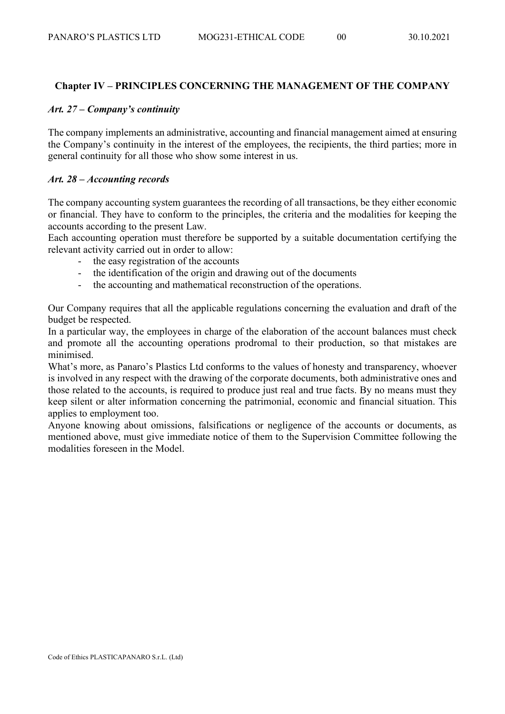## **Chapter IV – PRINCIPLES CONCERNING THE MANAGEMENT OF THE COMPANY**

## *Art. 27 – Company's continuity*

The company implements an administrative, accounting and financial management aimed at ensuring the Company's continuity in the interest of the employees, the recipients, the third parties; more in general continuity for all those who show some interest in us.

## *Art. 28 – Accounting records*

The company accounting system guarantees the recording of all transactions, be they either economic or financial. They have to conform to the principles, the criteria and the modalities for keeping the accounts according to the present Law.

Each accounting operation must therefore be supported by a suitable documentation certifying the relevant activity carried out in order to allow:

- the easy registration of the accounts
- the identification of the origin and drawing out of the documents
- the accounting and mathematical reconstruction of the operations.

Our Company requires that all the applicable regulations concerning the evaluation and draft of the budget be respected.

In a particular way, the employees in charge of the elaboration of the account balances must check and promote all the accounting operations prodromal to their production, so that mistakes are minimised.

What's more, as Panaro's Plastics Ltd conforms to the values of honesty and transparency, whoever is involved in any respect with the drawing of the corporate documents, both administrative ones and those related to the accounts, is required to produce just real and true facts. By no means must they keep silent or alter information concerning the patrimonial, economic and financial situation. This applies to employment too.

Anyone knowing about omissions, falsifications or negligence of the accounts or documents, as mentioned above, must give immediate notice of them to the Supervision Committee following the modalities foreseen in the Model.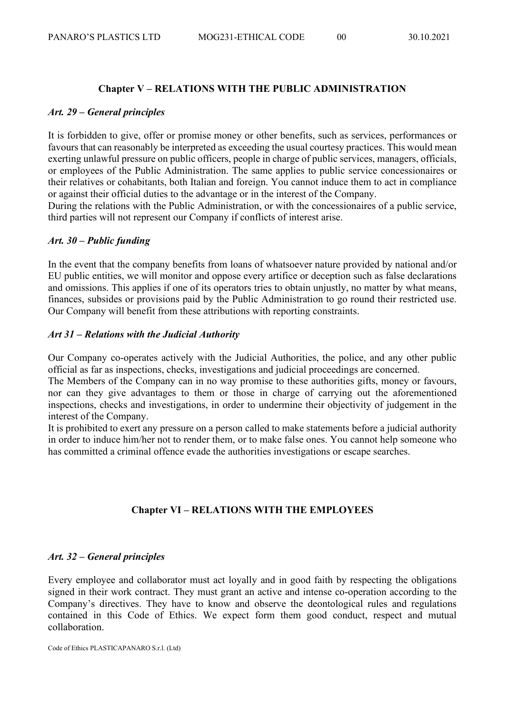## **Chapter V – RELATIONS WITH THE PUBLIC ADMINISTRATION**

#### *Art. 29 – General principles*

It is forbidden to give, offer or promise money or other benefits, such as services, performances or favours that can reasonably be interpreted as exceeding the usual courtesy practices. This would mean exerting unlawful pressure on public officers, people in charge of public services, managers, officials, or employees of the Public Administration. The same applies to public service concessionaires or their relatives or cohabitants, both Italian and foreign. You cannot induce them to act in compliance or against their official duties to the advantage or in the interest of the Company.

During the relations with the Public Administration, or with the concessionaires of a public service, third parties will not represent our Company if conflicts of interest arise.

#### *Art. 30 – Public funding*

In the event that the company benefits from loans of whatsoever nature provided by national and/or EU public entities, we will monitor and oppose every artifice or deception such as false declarations and omissions. This applies if one of its operators tries to obtain unjustly, no matter by what means, finances, subsides or provisions paid by the Public Administration to go round their restricted use. Our Company will benefit from these attributions with reporting constraints.

#### *Art 31 – Relations with the Judicial Authority*

Our Company co-operates actively with the Judicial Authorities, the police, and any other public official as far as inspections, checks, investigations and judicial proceedings are concerned.

The Members of the Company can in no way promise to these authorities gifts, money or favours, nor can they give advantages to them or those in charge of carrying out the aforementioned inspections, checks and investigations, in order to undermine their objectivity of judgement in the interest of the Company.

It is prohibited to exert any pressure on a person called to make statements before a judicial authority in order to induce him/her not to render them, or to make false ones. You cannot help someone who has committed a criminal offence evade the authorities investigations or escape searches.

## **Chapter VI – RELATIONS WITH THE EMPLOYEES**

#### *Art. 32 – General principles*

Every employee and collaborator must act loyally and in good faith by respecting the obligations signed in their work contract. They must grant an active and intense co-operation according to the Company's directives. They have to know and observe the deontological rules and regulations contained in this Code of Ethics. We expect form them good conduct, respect and mutual collaboration.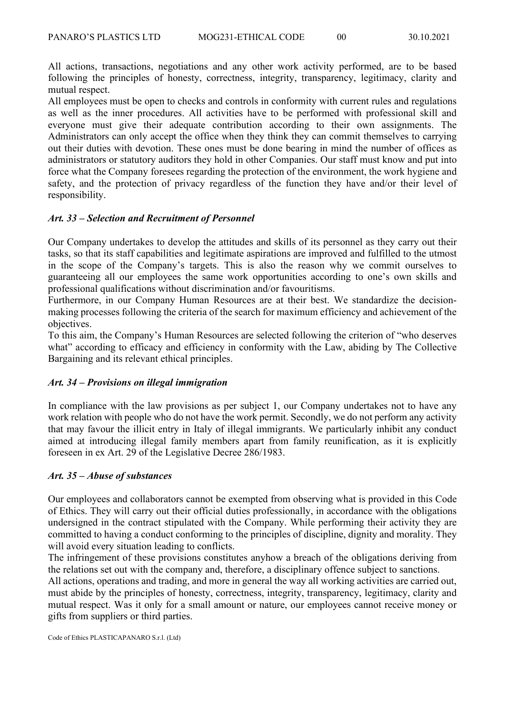All actions, transactions, negotiations and any other work activity performed, are to be based following the principles of honesty, correctness, integrity, transparency, legitimacy, clarity and mutual respect.

All employees must be open to checks and controls in conformity with current rules and regulations as well as the inner procedures. All activities have to be performed with professional skill and everyone must give their adequate contribution according to their own assignments. The Administrators can only accept the office when they think they can commit themselves to carrying out their duties with devotion. These ones must be done bearing in mind the number of offices as administrators or statutory auditors they hold in other Companies. Our staff must know and put into force what the Company foresees regarding the protection of the environment, the work hygiene and safety, and the protection of privacy regardless of the function they have and/or their level of responsibility.

## *Art. 33 – Selection and Recruitment of Personnel*

Our Company undertakes to develop the attitudes and skills of its personnel as they carry out their tasks, so that its staff capabilities and legitimate aspirations are improved and fulfilled to the utmost in the scope of the Company's targets. This is also the reason why we commit ourselves to guaranteeing all our employees the same work opportunities according to one's own skills and professional qualifications without discrimination and/or favouritisms.

Furthermore, in our Company Human Resources are at their best. We standardize the decisionmaking processes following the criteria of the search for maximum efficiency and achievement of the objectives.

To this aim, the Company's Human Resources are selected following the criterion of "who deserves what" according to efficacy and efficiency in conformity with the Law, abiding by The Collective Bargaining and its relevant ethical principles.

#### *Art. 34 – Provisions on illegal immigration*

In compliance with the law provisions as per subject 1, our Company undertakes not to have any work relation with people who do not have the work permit. Secondly, we do not perform any activity that may favour the illicit entry in Italy of illegal immigrants. We particularly inhibit any conduct aimed at introducing illegal family members apart from family reunification, as it is explicitly foreseen in ex Art. 29 of the Legislative Decree 286/1983.

#### *Art. 35 – Abuse of substances*

Our employees and collaborators cannot be exempted from observing what is provided in this Code of Ethics. They will carry out their official duties professionally, in accordance with the obligations undersigned in the contract stipulated with the Company. While performing their activity they are committed to having a conduct conforming to the principles of discipline, dignity and morality. They will avoid every situation leading to conflicts.

The infringement of these provisions constitutes anyhow a breach of the obligations deriving from the relations set out with the company and, therefore, a disciplinary offence subject to sanctions.

All actions, operations and trading, and more in general the way all working activities are carried out, must abide by the principles of honesty, correctness, integrity, transparency, legitimacy, clarity and mutual respect. Was it only for a small amount or nature, our employees cannot receive money or gifts from suppliers or third parties.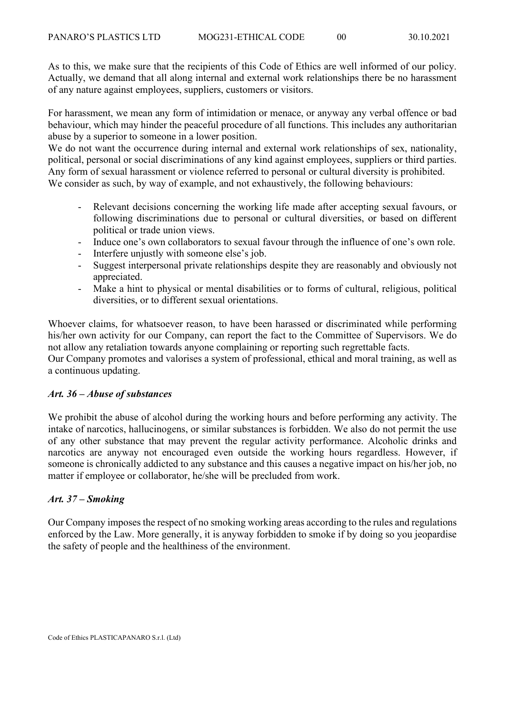As to this, we make sure that the recipients of this Code of Ethics are well informed of our policy. Actually, we demand that all along internal and external work relationships there be no harassment of any nature against employees, suppliers, customers or visitors.

For harassment, we mean any form of intimidation or menace, or anyway any verbal offence or bad behaviour, which may hinder the peaceful procedure of all functions. This includes any authoritarian abuse by a superior to someone in a lower position.

We do not want the occurrence during internal and external work relationships of sex, nationality, political, personal or social discriminations of any kind against employees, suppliers or third parties. Any form of sexual harassment or violence referred to personal or cultural diversity is prohibited. We consider as such, by way of example, and not exhaustively, the following behaviours:

- Relevant decisions concerning the working life made after accepting sexual favours, or following discriminations due to personal or cultural diversities, or based on different political or trade union views.
- Induce one's own collaborators to sexual favour through the influence of one's own role.
- Interfere unjustly with someone else's job.
- Suggest interpersonal private relationships despite they are reasonably and obviously not appreciated.
- Make a hint to physical or mental disabilities or to forms of cultural, religious, political diversities, or to different sexual orientations.

Whoever claims, for whatsoever reason, to have been harassed or discriminated while performing his/her own activity for our Company, can report the fact to the Committee of Supervisors. We do not allow any retaliation towards anyone complaining or reporting such regrettable facts.

Our Company promotes and valorises a system of professional, ethical and moral training, as well as a continuous updating.

## *Art. 36 – Abuse of substances*

We prohibit the abuse of alcohol during the working hours and before performing any activity. The intake of narcotics, hallucinogens, or similar substances is forbidden. We also do not permit the use of any other substance that may prevent the regular activity performance. Alcoholic drinks and narcotics are anyway not encouraged even outside the working hours regardless. However, if someone is chronically addicted to any substance and this causes a negative impact on his/her job, no matter if employee or collaborator, he/she will be precluded from work.

## *Art. 37 – Smoking*

Our Company imposes the respect of no smoking working areas according to the rules and regulations enforced by the Law. More generally, it is anyway forbidden to smoke if by doing so you jeopardise the safety of people and the healthiness of the environment.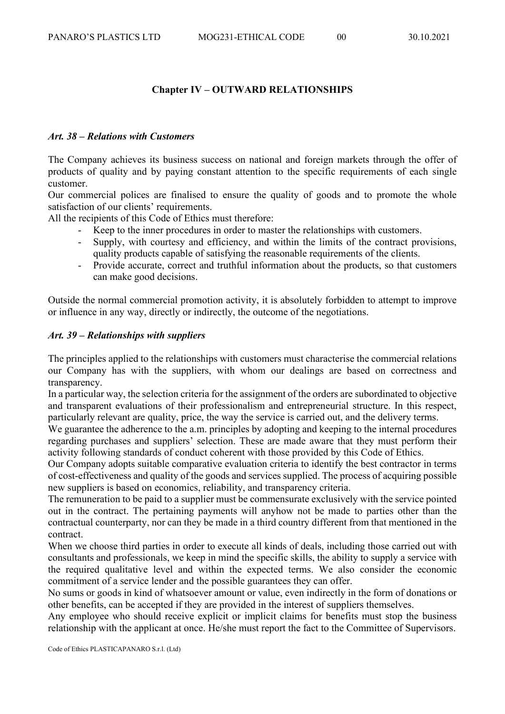## **Chapter IV – OUTWARD RELATIONSHIPS**

## *Art. 38 – Relations with Customers*

The Company achieves its business success on national and foreign markets through the offer of products of quality and by paying constant attention to the specific requirements of each single customer.

Our commercial polices are finalised to ensure the quality of goods and to promote the whole satisfaction of our clients' requirements.

All the recipients of this Code of Ethics must therefore:

- Keep to the inner procedures in order to master the relationships with customers.
- Supply, with courtesy and efficiency, and within the limits of the contract provisions, quality products capable of satisfying the reasonable requirements of the clients.
- Provide accurate, correct and truthful information about the products, so that customers can make good decisions.

Outside the normal commercial promotion activity, it is absolutely forbidden to attempt to improve or influence in any way, directly or indirectly, the outcome of the negotiations.

## *Art. 39 – Relationships with suppliers*

The principles applied to the relationships with customers must characterise the commercial relations our Company has with the suppliers, with whom our dealings are based on correctness and transparency.

In a particular way, the selection criteria for the assignment of the orders are subordinated to objective and transparent evaluations of their professionalism and entrepreneurial structure. In this respect, particularly relevant are quality, price, the way the service is carried out, and the delivery terms.

We guarantee the adherence to the a.m. principles by adopting and keeping to the internal procedures regarding purchases and suppliers' selection. These are made aware that they must perform their activity following standards of conduct coherent with those provided by this Code of Ethics.

Our Company adopts suitable comparative evaluation criteria to identify the best contractor in terms of cost-effectiveness and quality of the goods and services supplied. The process of acquiring possible new suppliers is based on economics, reliability, and transparency criteria.

The remuneration to be paid to a supplier must be commensurate exclusively with the service pointed out in the contract. The pertaining payments will anyhow not be made to parties other than the contractual counterparty, nor can they be made in a third country different from that mentioned in the contract.

When we choose third parties in order to execute all kinds of deals, including those carried out with consultants and professionals, we keep in mind the specific skills, the ability to supply a service with the required qualitative level and within the expected terms. We also consider the economic commitment of a service lender and the possible guarantees they can offer.

No sums or goods in kind of whatsoever amount or value, even indirectly in the form of donations or other benefits, can be accepted if they are provided in the interest of suppliers themselves.

Any employee who should receive explicit or implicit claims for benefits must stop the business relationship with the applicant at once. He/she must report the fact to the Committee of Supervisors.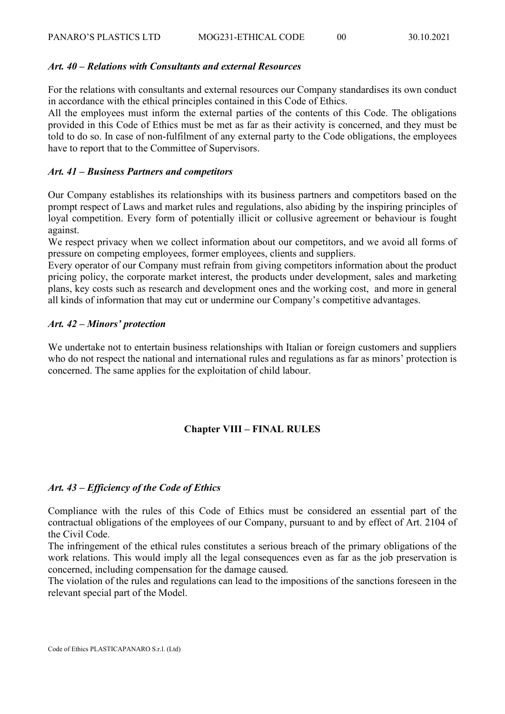#### *Art. 40 – Relations with Consultants and external Resources*

For the relations with consultants and external resources our Company standardises its own conduct in accordance with the ethical principles contained in this Code of Ethics.

All the employees must inform the external parties of the contents of this Code. The obligations provided in this Code of Ethics must be met as far as their activity is concerned, and they must be told to do so. In case of non-fulfilment of any external party to the Code obligations, the employees have to report that to the Committee of Supervisors.

#### *Art. 41 – Business Partners and competitors*

Our Company establishes its relationships with its business partners and competitors based on the prompt respect of Laws and market rules and regulations, also abiding by the inspiring principles of loyal competition. Every form of potentially illicit or collusive agreement or behaviour is fought against.

We respect privacy when we collect information about our competitors, and we avoid all forms of pressure on competing employees, former employees, clients and suppliers.

Every operator of our Company must refrain from giving competitors information about the product pricing policy, the corporate market interest, the products under development, sales and marketing plans, key costs such as research and development ones and the working cost, and more in general all kinds of information that may cut or undermine our Company's competitive advantages.

#### *Art. 42 – Minors' protection*

We undertake not to entertain business relationships with Italian or foreign customers and suppliers who do not respect the national and international rules and regulations as far as minors' protection is concerned. The same applies for the exploitation of child labour.

#### **Chapter VIII – FINAL RULES**

#### *Art. 43 – Efficiency of the Code of Ethics*

Compliance with the rules of this Code of Ethics must be considered an essential part of the contractual obligations of the employees of our Company, pursuant to and by effect of Art. 2104 of the Civil Code.

The infringement of the ethical rules constitutes a serious breach of the primary obligations of the work relations. This would imply all the legal consequences even as far as the job preservation is concerned, including compensation for the damage caused.

The violation of the rules and regulations can lead to the impositions of the sanctions foreseen in the relevant special part of the Model.